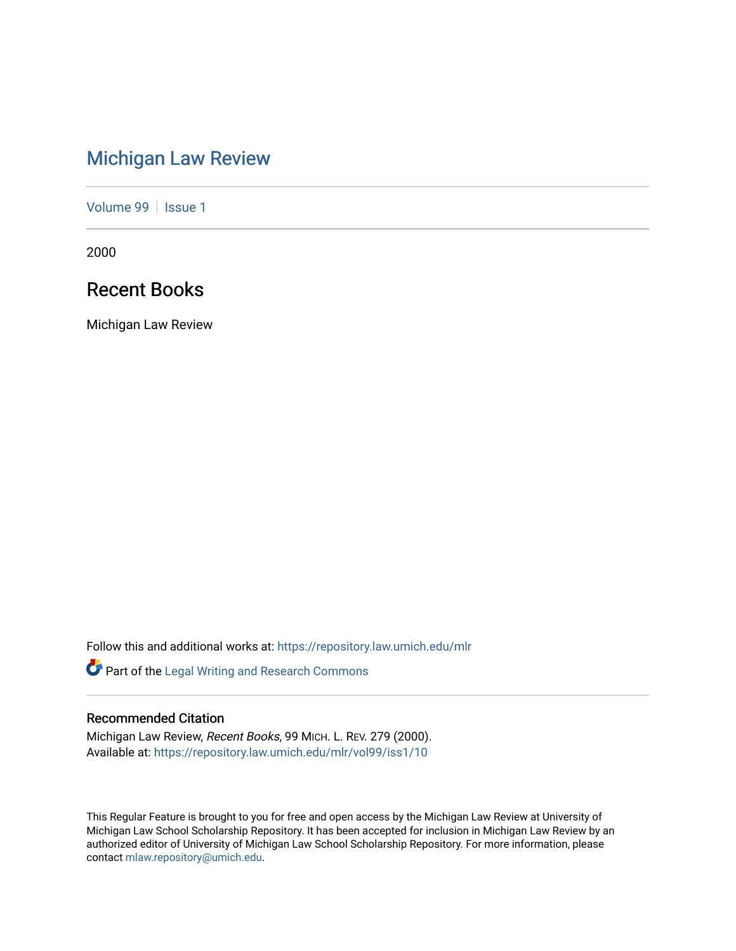# [Michigan Law Review](https://repository.law.umich.edu/mlr)

[Volume 99](https://repository.law.umich.edu/mlr/vol99) | [Issue 1](https://repository.law.umich.edu/mlr/vol99/iss1)

2000

## Recent Books

Michigan Law Review

Follow this and additional works at: [https://repository.law.umich.edu/mlr](https://repository.law.umich.edu/mlr?utm_source=repository.law.umich.edu%2Fmlr%2Fvol99%2Fiss1%2F10&utm_medium=PDF&utm_campaign=PDFCoverPages) 

Part of the [Legal Writing and Research Commons](http://network.bepress.com/hgg/discipline/614?utm_source=repository.law.umich.edu%2Fmlr%2Fvol99%2Fiss1%2F10&utm_medium=PDF&utm_campaign=PDFCoverPages) 

### Recommended Citation

Michigan Law Review, Recent Books, 99 MICH. L. REV. 279 (2000). Available at: [https://repository.law.umich.edu/mlr/vol99/iss1/10](https://repository.law.umich.edu/mlr/vol99/iss1/10?utm_source=repository.law.umich.edu%2Fmlr%2Fvol99%2Fiss1%2F10&utm_medium=PDF&utm_campaign=PDFCoverPages) 

This Regular Feature is brought to you for free and open access by the Michigan Law Review at University of Michigan Law School Scholarship Repository. It has been accepted for inclusion in Michigan Law Review by an authorized editor of University of Michigan Law School Scholarship Repository. For more information, please contact [mlaw.repository@umich.edu](mailto:mlaw.repository@umich.edu).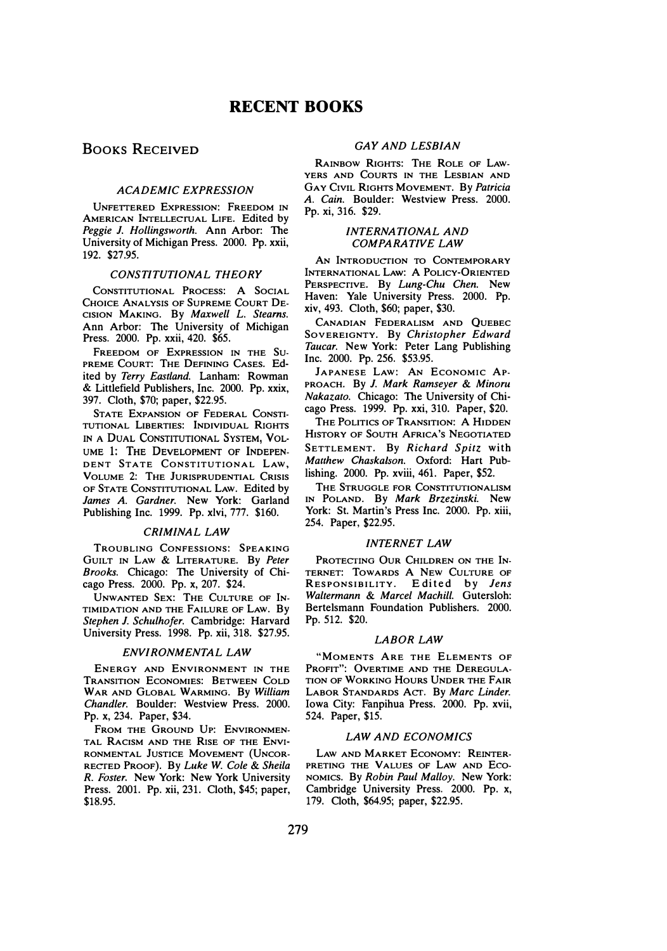### BOOKS RECEIVED

#### ACADEMIC EXPRESSION

UNFETrERED EXPRESSION: FREEDOM IN AMERICAN INTELLECTUAL LIFE. Edited by Peggie J. Hollingsworth. Ann Arbor: The University of Michigan Press. 2000. Pp. xxii, 192. \$27.95.

#### CONSTITUTIONAL THEORY

CONSTITUTIONAL PROCESS: A SOCIAL CHOICE ANALYSIS OF SUPREME COURT DE-CISION MAKING. By Maxwell L. Stearns. Ann Arbor: The University of Michigan Press. 2000. Pp. xxii, 420. \$65.

FREEDOM OF EXPRESSION IN THE SU-PREME COURT: THE DEFINING CASES. Edited by Terry Eastland. Lanham: Rowman & Littlefield Publishers, Inc. 2000. Pp. xxix, 397. Cloth, \$70; paper, \$22.95.

STATE EXPANSION OF FEDERAL CONSTI-TUTIONAL LIBERTIES: INDIVIDUAL RIGHTS IN A DUAL CONSTITUTIONAL SYSTEM, VOL-UME 1: THE DEVELOPMENT OF INDEPEN-DENT STATE CONSTITUTIONAL LAW, VOLUME 2: THE JURISPRUDENTIAL CRISIS OF STATE CONSTITUTIONAL LAW. Edited by James A. Gardner. New York: Garland Publishing Inc. 1999. Pp. xlvi, 777. \$160.

#### CRIMINAL LAW

TROUBLING CONFESSIONS: SPEAKING GUILT IN LAW & LITERATURE. By Peter Brooks. Chicago: The University of Chicago Press. 2000. Pp. x, 207. \$24.

UN WANTED SEx: THE CULTURE OF IN-TIMIDATION AND THE FAILURE OF LAW. By Stephen J. Schulhofer. Cambridge: Harvard University Press. 1998. Pp. xii, 318. \$27.95.

#### ENVIRONMENTAL LAW

ENERGY AND ENVIRONMENT IN THE TRANSITION ECONOMIES: BETWEEN COLD WAR AND GLOBAL WARMING. By William Chandler. Boulder: Westview Press. 2000. Pp. x, 234. Paper, \$34.

FROM THE GROUND UP: ENVIRONMEN-TAL RACISM AND THE RISE OF THE ENVI-RONMENTAL JUSTICE MOVEMENT (UNCOR-RECTED PROOF). By Luke W. Cole & Sheila R. Foster. New York: New York University Press. 2001. Pp. xii, 231. Cloth, \$45; paper, \$18.95.

#### GAY AND LESBIAN

RAINBOW RIGHTS: THE ROLE OF LAW-YERS AND COURTS IN THE LESBIAN AND GAY CIVIL RIGHTS MOVEMENT. By Patricia A. Cain. Boulder: Westview Press. 2000. Pp. xi, 316. \$29.

#### INTERNATIONAL AND COMPARATIVE LAW

AN INTRODUCTION TO CONTEMPORARY INTERNATIONAL LAw: A PoLICY-0RIENTED PERSPECTIVE. By Lung-Chu Chen. New Haven: Yale University Press. 2000. Pp. xiv, 493. Cloth, \$60; paper, \$30.

CANADIAN FEDERALISM AND QUEBEC SOVEREIGNTY. By Christopher Edward Taucar. New York: Peter Lang Publishing Inc. 2000. Pp. 256. \$53.95.

JAPANESE LAW: AN ECONOMIC AP-PROACH. By J. Mark Ramseyer & Minoru Nakazato. Chicago: The University of Chicago Press. 1999. Pp. xxi, 310. Paper, \$20.

THE POLITICS OF TRANSITION: A HIDDEN HISTORY OF SOUTH AFRICA'S NEGOTIATED SETTLEMENT. By Richard Spitz with Matthew Chaskalson. Oxford: Hart Publishing. 2000. Pp. xviii, 461. Paper, \$52.

THE STRUGGLE FOR CoNSTITUTIONALISM IN POLAND. By Mark Brzezinski. New York: St. Martin's Press Inc. 2000. Pp. xiii, 254. Paper, \$22.95.

#### INTERNET LAW

PROTECTING OUR CHILDREN ON THE IN-TERNET: TOWARDS A NEW CULTURE OF RESPONSIBILITY. Edited by *Jens*<br>W*altermann & Marcel Machill*. Gutersloh: Bertelsmann Foundation Publishers. 2000. Pp. 512. \$20.

#### LABOR LAW

"MOMENTS ARE THE ELEMENTS OF PROFIT": OVERTIME AND THE DEREGULA-TION OF WORKING HOURS UNDER THE FAIR LABOR STANDARDS ACT. By Marc Linder. Iowa City: Fanpihua Press. 2000. Pp. xvii, 524. Paper, \$15.

#### LAW AND ECONOMICS

LAW AND MARKET ECONOMY: REINTER-PRETING THE VALUES OF LAW AND ECO-NOMICS. By Robin Paul Malloy. New York: Cambridge University Press. 2000. Pp. x, 179. Cloth, \$64.95; paper, \$22.95.